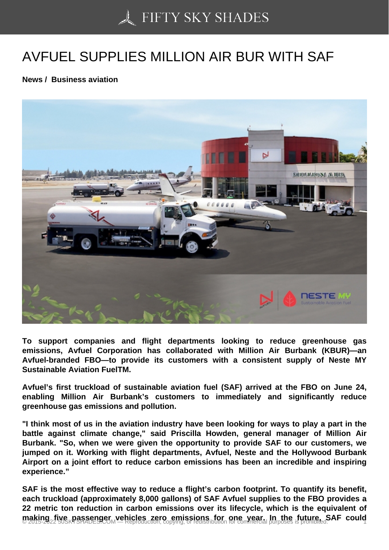## [AVFUEL SUPPLIES M](https://50skyshades.com)ILLION AIR BUR WITH SAF

News / Business aviation

To support companies and flight departments looking to reduce greenhouse gas emissions, Avfuel Corporation has collaborated with Million Air Burbank (KBUR)—an Avfuel-branded FBO—to provide its customers with a consistent supply of Neste MY Sustainable Aviation FuelTM.

Avfuel's first truckload of sustainable aviation fuel (SAF) arrived at the FBO on June 24, enabling Million Air Burbank's customers to immediately and significantly reduce greenhouse gas emissions and pollution.

"I think most of us in the aviation industry have been looking for ways to play a part in the battle against climate change," said Priscilla Howden, general manager of Million Air Burbank. "So, when we were given the opportunity to provide SAF to our customers, we jumped on it. Working with flight departments, Avfuel, Neste and the Hollywood Burbank Airport on a joint effort to reduce carbon emissions has been an incredible and inspiring experience."

SAF is the most effective way to reduce a flight's carbon footprint. To quantify its benefit, each truckload (approximately 8,000 gallons) of SAF Avfuel supplies to the FBO provides a 22 metric ton reduction in carbon emissions over its lifecycle, which is the equivalent of making five passenger yehicles zero emissions for one year. In the future, SAF could  $\frac{1}{1}$